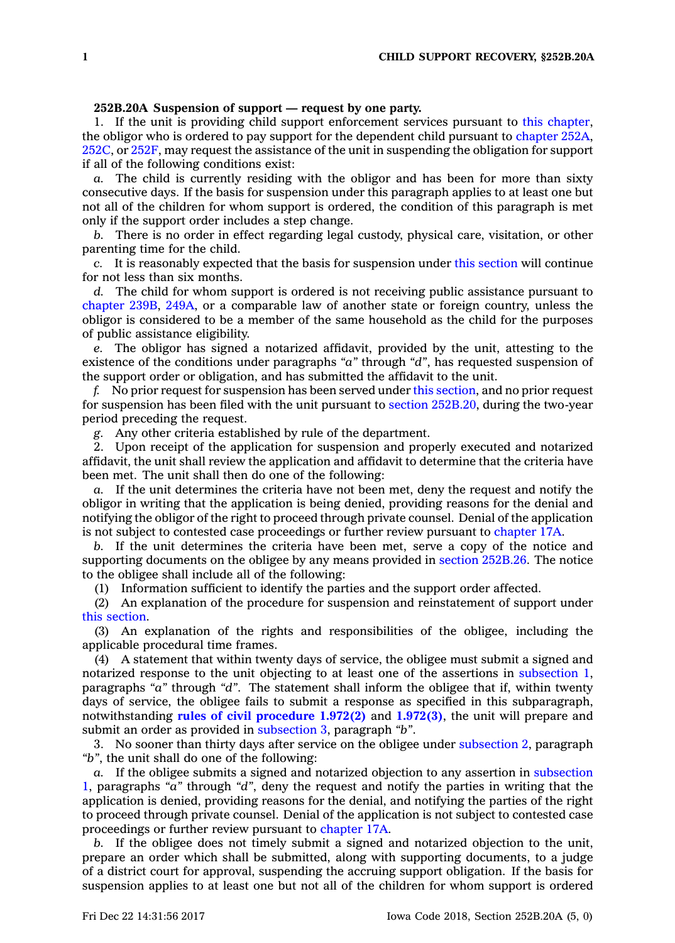## **252B.20A Suspension of support —request by one party.**

1. If the unit is providing child support enforcement services pursuant to this [chapter](https://www.legis.iowa.gov/docs/code//252B.pdf), the obligor who is ordered to pay support for the dependent child pursuant to [chapter](https://www.legis.iowa.gov/docs/code//252A.pdf) 252A, [252C](https://www.legis.iowa.gov/docs/code//252C.pdf), or [252F](https://www.legis.iowa.gov/docs/code//252F.pdf), may request the assistance of the unit in suspending the obligation for support if all of the following conditions exist:

*a.* The child is currently residing with the obligor and has been for more than sixty consecutive days. If the basis for suspension under this paragraph applies to at least one but not all of the children for whom support is ordered, the condition of this paragraph is met only if the support order includes <sup>a</sup> step change.

*b.* There is no order in effect regarding legal custody, physical care, visitation, or other parenting time for the child.

*c.* It is reasonably expected that the basis for suspension under this [section](https://www.legis.iowa.gov/docs/code/252B.20A.pdf) will continue for not less than six months.

*d.* The child for whom support is ordered is not receiving public assistance pursuant to [chapter](https://www.legis.iowa.gov/docs/code//239B.pdf) 239B, [249A](https://www.legis.iowa.gov/docs/code//249A.pdf), or <sup>a</sup> comparable law of another state or foreign country, unless the obligor is considered to be <sup>a</sup> member of the same household as the child for the purposes of public assistance eligibility.

*e.* The obligor has signed <sup>a</sup> notarized affidavit, provided by the unit, attesting to the existence of the conditions under paragraphs *"a"* through *"d"*, has requested suspension of the support order or obligation, and has submitted the affidavit to the unit.

*f.* No prior request for suspension has been served under this [section](https://www.legis.iowa.gov/docs/code/252B.20A.pdf), and no prior request for suspension has been filed with the unit pursuant to section [252B.20](https://www.legis.iowa.gov/docs/code/252B.20.pdf), during the two-year period preceding the request.

*g.* Any other criteria established by rule of the department.

2. Upon receipt of the application for suspension and properly executed and notarized affidavit, the unit shall review the application and affidavit to determine that the criteria have been met. The unit shall then do one of the following:

*a.* If the unit determines the criteria have not been met, deny the request and notify the obligor in writing that the application is being denied, providing reasons for the denial and notifying the obligor of the right to proceed through private counsel. Denial of the application is not subject to contested case proceedings or further review pursuant to [chapter](https://www.legis.iowa.gov/docs/code//17A.pdf) 17A.

*b.* If the unit determines the criteria have been met, serve <sup>a</sup> copy of the notice and supporting documents on the obligee by any means provided in section [252B.26](https://www.legis.iowa.gov/docs/code/252B.26.pdf). The notice to the obligee shall include all of the following:

(1) Information sufficient to identify the parties and the support order affected.

(2) An explanation of the procedure for suspension and reinstatement of support under this [section](https://www.legis.iowa.gov/docs/code/252B.20A.pdf).

(3) An explanation of the rights and responsibilities of the obligee, including the applicable procedural time frames.

(4) A statement that within twenty days of service, the obligee must submit <sup>a</sup> signed and notarized response to the unit objecting to at least one of the assertions in [subsection](https://www.legis.iowa.gov/docs/code/252B.20A.pdf) 1, paragraphs *"a"* through *"d"*. The statement shall inform the obligee that if, within twenty days of service, the obligee fails to submit <sup>a</sup> response as specified in this subparagraph, notwithstanding **rules of civil [procedure](https://www.legis.iowa.gov/docs/ACO/CourtRulesChapter/.pdf) 1.972(2)** and **[1.972\(3\)](https://www.legis.iowa.gov/docs/ACO/CourtRulesChapter/.pdf)**, the unit will prepare and submit an order as provided in [subsection](https://www.legis.iowa.gov/docs/code/252B.20A.pdf) 3, paragraph *"b"*.

3. No sooner than thirty days after service on the obligee under [subsection](https://www.legis.iowa.gov/docs/code/252B.20A.pdf) 2, paragraph *"b"*, the unit shall do one of the following:

*a.* If the obligee submits <sup>a</sup> signed and notarized objection to any assertion in [subsection](https://www.legis.iowa.gov/docs/code/252B.20A.pdf) [1](https://www.legis.iowa.gov/docs/code/252B.20A.pdf), paragraphs *"a"* through *"d"*, deny the request and notify the parties in writing that the application is denied, providing reasons for the denial, and notifying the parties of the right to proceed through private counsel. Denial of the application is not subject to contested case proceedings or further review pursuant to [chapter](https://www.legis.iowa.gov/docs/code//17A.pdf) 17A.

*b.* If the obligee does not timely submit <sup>a</sup> signed and notarized objection to the unit, prepare an order which shall be submitted, along with supporting documents, to <sup>a</sup> judge of <sup>a</sup> district court for approval, suspending the accruing support obligation. If the basis for suspension applies to at least one but not all of the children for whom support is ordered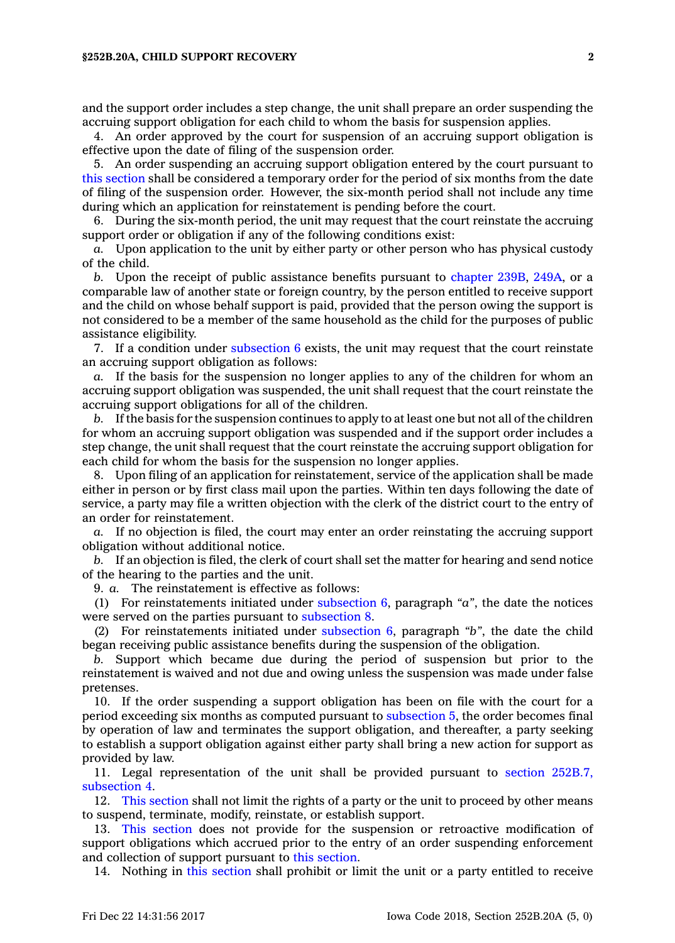## **§252B.20A, CHILD SUPPORT RECOVERY 2**

and the support order includes <sup>a</sup> step change, the unit shall prepare an order suspending the accruing support obligation for each child to whom the basis for suspension applies.

4. An order approved by the court for suspension of an accruing support obligation is effective upon the date of filing of the suspension order.

5. An order suspending an accruing support obligation entered by the court pursuant to this [section](https://www.legis.iowa.gov/docs/code/252B.20A.pdf) shall be considered <sup>a</sup> temporary order for the period of six months from the date of filing of the suspension order. However, the six-month period shall not include any time during which an application for reinstatement is pending before the court.

6. During the six-month period, the unit may request that the court reinstate the accruing support order or obligation if any of the following conditions exist:

*a.* Upon application to the unit by either party or other person who has physical custody of the child.

*b.* Upon the receipt of public assistance benefits pursuant to [chapter](https://www.legis.iowa.gov/docs/code//239B.pdf) 239B, [249A](https://www.legis.iowa.gov/docs/code//249A.pdf), or <sup>a</sup> comparable law of another state or foreign country, by the person entitled to receive support and the child on whose behalf support is paid, provided that the person owing the support is not considered to be <sup>a</sup> member of the same household as the child for the purposes of public assistance eligibility.

7. If <sup>a</sup> condition under [subsection](https://www.legis.iowa.gov/docs/code/252B.20A.pdf) 6 exists, the unit may request that the court reinstate an accruing support obligation as follows:

*a.* If the basis for the suspension no longer applies to any of the children for whom an accruing support obligation was suspended, the unit shall request that the court reinstate the accruing support obligations for all of the children.

*b.* If the basis for the suspension continues to apply to at least one but not all of the children for whom an accruing support obligation was suspended and if the support order includes <sup>a</sup> step change, the unit shall request that the court reinstate the accruing support obligation for each child for whom the basis for the suspension no longer applies.

8. Upon filing of an application for reinstatement, service of the application shall be made either in person or by first class mail upon the parties. Within ten days following the date of service, <sup>a</sup> party may file <sup>a</sup> written objection with the clerk of the district court to the entry of an order for reinstatement.

*a.* If no objection is filed, the court may enter an order reinstating the accruing support obligation without additional notice.

*b.* If an objection is filed, the clerk of court shall set the matter for hearing and send notice of the hearing to the parties and the unit.

9. *a.* The reinstatement is effective as follows:

(1) For reinstatements initiated under [subsection](https://www.legis.iowa.gov/docs/code/252B.20A.pdf) 6, paragraph *"a"*, the date the notices were served on the parties pursuant to [subsection](https://www.legis.iowa.gov/docs/code/252B.20A.pdf) 8.

(2) For reinstatements initiated under [subsection](https://www.legis.iowa.gov/docs/code/252B.20A.pdf) 6, paragraph *"b"*, the date the child began receiving public assistance benefits during the suspension of the obligation.

*b.* Support which became due during the period of suspension but prior to the reinstatement is waived and not due and owing unless the suspension was made under false pretenses.

10. If the order suspending <sup>a</sup> support obligation has been on file with the court for <sup>a</sup> period exceeding six months as computed pursuant to [subsection](https://www.legis.iowa.gov/docs/code/252B.20A.pdf) 5, the order becomes final by operation of law and terminates the support obligation, and thereafter, <sup>a</sup> party seeking to establish <sup>a</sup> support obligation against either party shall bring <sup>a</sup> new action for support as provided by law.

11. Legal representation of the unit shall be provided pursuant to section [252B.7,](https://www.legis.iowa.gov/docs/code/252B.7.pdf) [subsection](https://www.legis.iowa.gov/docs/code/252B.7.pdf) 4.

12. This [section](https://www.legis.iowa.gov/docs/code/252B.20A.pdf) shall not limit the rights of <sup>a</sup> party or the unit to proceed by other means to suspend, terminate, modify, reinstate, or establish support.

13. This [section](https://www.legis.iowa.gov/docs/code/252B.20A.pdf) does not provide for the suspension or retroactive modification of support obligations which accrued prior to the entry of an order suspending enforcement and collection of support pursuant to this [section](https://www.legis.iowa.gov/docs/code/252B.20A.pdf).

14. Nothing in this [section](https://www.legis.iowa.gov/docs/code/252B.20A.pdf) shall prohibit or limit the unit or <sup>a</sup> party entitled to receive